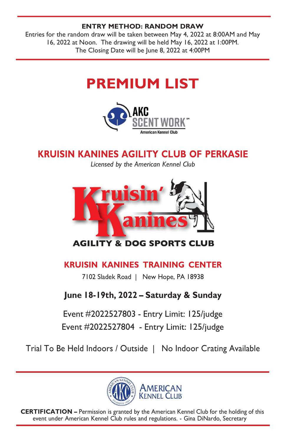#### ENTRY METHOD: RANDOM DRAW

Entries for the random draw will be taken between May 4, 2022 at 8:00AM and May 16, 2022 at Noon. The drawing will be held May 16, 2022 at 1:00PM. The Closing Date will be June 8, 2022 at 4:00PM

# PREMIUM LIST



# KRUISIN KANINES AGILITY CLUB OF PERKASIE

Licensed by the American Kennel Club



**AGILITY & DOG SPORTS CLUB** 

# KRUISIN KANINES TRAINING CENTER

7102 Sladek Road | New Hope, PA 18938

# June 18-19th, 2022 – Saturday & Sunday

Event #2022527803 - Entry Limit: 125/judge

Event #2022527804 - Entry Limit: 125/judge

Trial To Be Held Indoors / Outside | No Indoor Crating Available



CERTIFICATION – Permission is granted by the American Kennel Club for the holding of this event under American Kennel Club rules and regulations. - Gina DiNardo, Secretary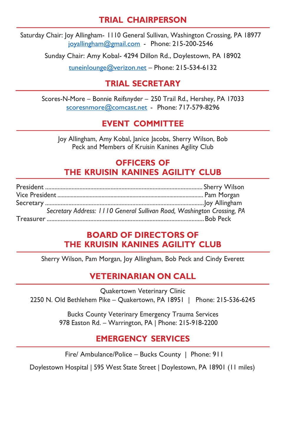### TRIAL CHAIRPERSON

Saturday Chair: Joy Allingham- 1110 General Sullivan, Washington Crossing, PA 18977 joyallingham@gmail.com - Phone: 215-200-2546

Sunday Chair: Amy Kobal- 4294 Dillon Rd., Doylestown, PA 18902

tuneinlounge@verizon.net – Phone: 215-534-6132

### TRIAL SECRETARY

Scores-N-More – Bonnie Reifsnyder – 250 Trail Rd., Hershey, PA 17033 scoresnmore@comcast.net - Phone: 717-579-8296

# EVENT COMMITTEE

Joy Allingham, Amy Kobal, Janice Jacobs, Sherry Wilson, Bob Peck and Members of Kruisin Kanines Agility Club

### OFFICERS OF THE KRUISIN KANINES AGILITY CLUB

| Secretary Address: 1110 General Sullivan Road, Washington Crossing, PA |
|------------------------------------------------------------------------|
|                                                                        |

#### BOARD OF DIRECTORS OF THE KRUISIN KANINES AGILITY CLUB

Sherry Wilson, Pam Morgan, Joy Allingham, Bob Peck and Cindy Everett

# VETERINARIAN ON CALL

Quakertown Veterinary Clinic 2250 N. Old Bethlehem Pike – Quakertown, PA 18951 | Phone: 215-536-6245

> Bucks County Veterinary Emergency Trauma Services 978 Easton Rd. – Warrington, PA | Phone: 215-918-2200

### EMERGENCY SERVICES

Fire/ Ambulance/Police – Bucks County | Phone: 911

Doylestown Hospital | 595 West State Street | Doylestown, PA 18901 (11 miles)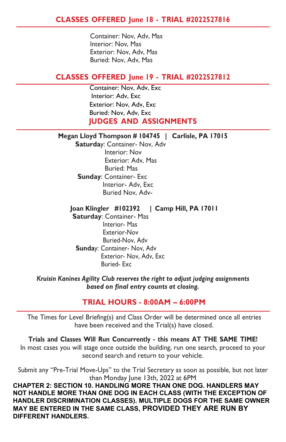Container: Nov, Adv, Mas Interior: Nov, Mas Exterior: Nov, Adv, Mas Buried: Nov, Adv, Mas

#### CLASSES OFFERED June 19 - TRIAL #2022527812

 Container: Nov, Adv, Exc Interior: Adv, Exc Exterior: Nov, Adv, Exc Buried: Nov, Adv, Exc JUDGES AND ASSIGNMENTS

#### Megan Lloyd Thompson # 104745 | Carlisle, PA 17015

 Saturday: Container- Nov, Adv Interior: Nov Exterior: Adv, Mas Buried: Mas Sunday: Container- Exc Interior- Adv, Exc Buried Nov, Adv-

#### Joan Klingler #102392 | Camp Hill, PA 17011

Saturday: Container- Mas Interior- Mas Exterior-Nov Buried-Nov, Adv Sunday: Container- Nov, Adv Exterior- Nov, Adv, Exc Buried- Exc

#### Kruisin Kanines Agility Club reserves the right to adjust judging assignments based on final entry counts at closing.

#### TRIAL HOURS - 8:00AM – 6:00PM

The Times for Level Briefing(s) and Class Order will be determined once all entries have been received and the Trial(s) have closed.

Trials and Classes Will Run Concurrently - this means AT THE SAME TIME! In most cases you will stage once outside the building, run one search, proceed to your second search and return to your vehicle.

Submit any "Pre-Trial Move-Ups" to the Trial Secretary as soon as possible, but not later than Monday June 13th, 2022 at 6PM

CHAPTER 2: SECTION 10. HANDLING MORE THAN ONE DOG. HANDLERS MAY NOT HANDLE MORE THAN ONE DOG IN EACH CLASS (WITH THE EXCEPTION OF HANDLER DISCRIMINATION CLASSES). MULTIPLE DOGS FOR THE SAME OWNER MAY BE ENTERED IN THE SAME CLASS, PROVIDED THEY ARE RUN BY DIFFERENT HANDLERS.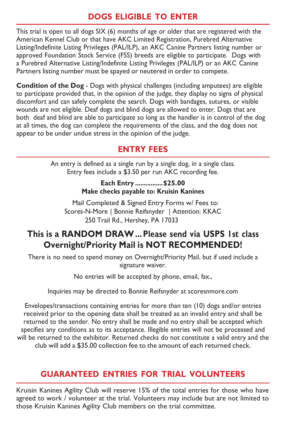### DOGS ELIGIBLE TO ENTER

This trial is open to all dogs SIX (6) months of age or older that are registered with the American Kennel Club or that have AKC Limited Registration, Purebred Alternative Listing/Indefinite Listing Privileges (PAL/ILP), an AKC Canine Partners listing number or approved Foundation Stock Service (FSS) breeds are eligible to participate. Dogs with a Purebred Alternative Listing/Indefinite Listing Privileges (PAL/ILP) or an AKC Canine Partners listing number must be spayed or neutered in order to compete.

Condition of the Dog - Dogs with physical challenges (including amputees) are eligible to participate provided that, in the opinion of the judge, they display no signs of physical discomfort and can safely complete the search. Dogs with bandages, sutures, or visible wounds are not eligible. Deaf dogs and blind dogs are allowed to enter. Dogs that are both deaf and blind are able to participate so long as the handler is in control of the dog at all times, the dog can complete the requirements of the class, and the dog does not appear to be under undue stress in the opinion of the judge.

# ENTRY FEES

An entry is defined as a single run by a single dog, in a single class. Entry fees include a \$3.50 per run AKC recording fee.

#### Each Entry ................ \$25.00 Make checks payable to: Kruisin Kanines

Mail Completed & Signed Entry Forms w/ Fees to: Scores-N-More | Bonnie Reifsnyder | Attention: KKAC 250 Trail Rd., Hershey, PA 17033

# This is a RANDOM DRAW ... Please send via USPS 1st class Overnight/Priority Mail is NOT RECOMMENDED!

There is no need to spend money on Overnight/Priority Mail. but if used include a signature waiver.

No entries will be accepted by phone, email, fax.,

Inquiries may be directed to Bonnie Reifsnyder at scoresnmore.com

Envelopes/transactions containing entries for more than ten (10) dogs and/or entries received prior to the opening date shall be treated as an invalid entry and shall be returned to the sender. No entry shall be made and no entry shall be accepted which specifies any conditions as to its acceptance. Illegible entries will not be processed and will be returned to the exhibitor. Returned checks do not constitute a valid entry and the club will add a \$35.00 collection fee to the amount of each returned check.

# GUARANTEED ENTRIES FOR TRIAL VOLUNTEERS

Kruisin Kanines Agility Club will reserve 15% of the total entries for those who have agreed to work / volunteer at the trial. Volunteers may include but are not limited to those Kruisin Kanines Agility Club members on the trial committee.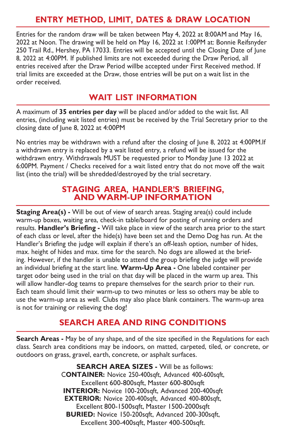### ENTRY METHOD, LIMIT, DATES & DRAW LOCATION

Entries for the random draw will be taken between May 4, 2022 at 8:00AM and May 16, 2022 at Noon. The drawing will be held on May 16, 2022 at 1:00PM at: Bonnie Reifsnyder 250 Trail Rd., Hershey, PA 17033. Entries will be accepted until the Closing Date of June 8, 2022 at 4:00PM. If published limits are not exceeded during the Draw Period, all entries received after the Draw Period willbe accepted under First Received method. If trial limits are exceeded at the Draw, those entries will be put on a wait list in the order received.

### WAIT LIST INFORMATION

A maximum of 35 entries per day will be placed and/or added to the wait list. All entries, (including wait listed entries) must be received by the Trial Secretary prior to the closing date of June 8, 2022 at 4:00PM

No entries may be withdrawn with a refund after the closing of June 8, 2022 at 4:00PM. If a withdrawn entry is replaced by a wait listed entry, a refund will be issued for the withdrawn entry. Withdrawals MUST be requested prior to Monday June 13 2022 at 6:00PM. Payment / Checks received for a wait listed entry that do not move off the wait list (into the trial) will be shredded/destroyed by the trial secretary.

#### STAGING AREA, HANDLER'S BRIEFING, AND WARM-UP INFORMATION

Staging Area(s) - Will be out of view of search areas. Staging area(s) could include warm-up boxes, waiting area, check-in table/board for posting of running orders and results. Handler's Briefing - Will take place in view of the search area prior to the start of each class or level, after the hide(s) have been set and the Demo Dog has run. At the Handler's Briefing the judge will explain if there's an off-leash option, number of hides, max. height of hides and max. time for the search. No dogs are allowed at the briefing. However, if the handler is unable to attend the group briefing the judge will provide an individual briefing at the start line. Warm-Up Area - One labeled container per target odor being used in the trial on that day will be placed in the warm up area. This will allow handler-dog teams to prepare themselves for the search prior to their run. Each team should limit their warm-up to two minutes or less so others may be able to use the warm-up area as well. Clubs may also place blank containers. The warm-up area is not for training or relieving the dog!

### SEARCH AREA AND RING CONDITIONS

Search Areas - May be of any shape, and of the size specified in the Regulations for each class. Search area conditions may be indoors, on matted, carpeted, tiled, or concrete, or outdoors on grass, gravel, earth, concrete, or asphalt surfaces.

> SEARCH AREA SIZES - Will be as follows: CONTAINER: Novice 250-400sqft, Advanced 400-600sqft, Excellent 600-800sqft, Master 600-800sqft INTERIOR: Novice 100-200sqft, Advanced 200-400sqft EXTERIOR: Novice 200-400sqft, Advanced 400-800sqft, Excellent 800-1500sqft, Master 1500-2000sqft BURIED: Novice 150-200sqft, Advanced 200-300sqft, Excellent 300-400sqft, Master 400-500sqft.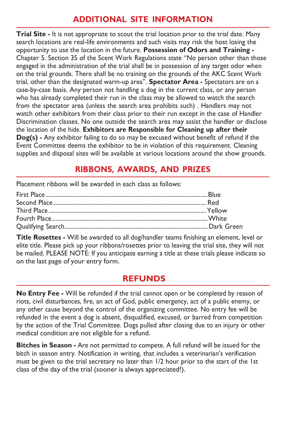### ADDITIONAL SITE INFORMATION

**Trial Site - It is not appropriate to scout the trial location prior to the trial date. Many** search locations are real-life environments and such visits may risk the host losing the opportunity to use the location in the future. Possession of Odors and Training - Chapter 5. Section 35 of the Scent Work Regulations state "No person other than those engaged in the administration of the trial shall be in possession of any target odor when on the trial grounds. There shall be no training on the grounds of the AKC Scent Work trial, other than the designated warm-up area". Spectator Area - Spectators are on a case-by-case basis. Any person not handling a dog in the current class, or any person who has already completed their run in the class may be allowed to watch the search from the spectator area (unless the search area prohibits such) . Handlers may not watch other exhibitors from their class prior to their run except in the case of Handler Discrimination classes. No one outside the search area may assist the handler or disclose the location of the hide. Exhibitors are Responsible for Cleaning up after their Dog(s) - Any exhibitor failing to do so may be excused without benefit of refund if the Event Committee deems the exhibitor to be in violation of this requirement. Cleaning supplies and disposal sites will be available at various locations around the show grounds.

# RIBBONS, AWARDS, AND PRIZES

Placement ribbons will be awarded in each class as follows:

Title Rosettes - Will be awarded to all dog/handler teams finishing an element, level or elite title. Please pick up your ribbons/rosettes prior to leaving the trial site, they will not be mailed. PLEASE NOTE: If you anticipate earning a title at these trials please indicate so on the last page of your entry form.

### REFUNDS

No Entry Fee - Will be refunded if the trial cannot open or be completed by reason of riots, civil disturbances, fire, an act of God, public emergency, act of a public enemy, or any other cause beyond the control of the organizing committee. No entry fee will be refunded in the event a dog is absent, disqualified, excused, or barred from competition by the action of the Trial Committee. Dogs pulled after closing due to an injury or other medical condition are not eligible for a refund.

Bitches in Season - Are not permitted to compete. A full refund will be issued for the bitch in season entry. Notification in writing, that includes a veterinarian's verification must be given to the trial secretary no later than 1/2 hour prior to the start of the 1st class of the day of the trial (sooner is always appreciated!).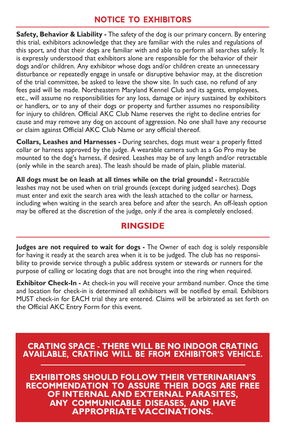#### NOTICE TO EXHIBITORS

Safety, Behavior & Liability - The safety of the dog is our primary concern. By entering this trial, exhibitors acknowledge that they are familiar with the rules and regulations of this sport, and that their dogs are familiar with and able to perform all searches safely. It is expressly understood that exhibitors alone are responsible for the behavior of their dogs and/or children. Any exhibitor whose dogs and/or children create an unnecessary disturbance or repeatedly engage in unsafe or disruptive behavior may, at the discretion of the trial committee, be asked to leave the show site. In such case, no refund of any fees paid will be made. Northeastern Maryland Kennel Club and its agents, employees, etc., will assume no responsibilities for any loss, damage or injury sustained by exhibitors or handlers, or to any of their dogs or property and further assumes no responsibility for injury to children. Official AKC Club Name reserves the right to decline entries for cause and may remove any dog on account of aggression. No one shall have any recourse or claim against Official AKC Club Name or any official thereof.

Collars, Leashes and Harnesses - During searches, dogs must wear a properly fitted collar or harness approved by the judge. A wearable camera such as a Go Pro may be mounted to the dog's harness, if desired. Leashes may be of any length and/or retractable (only while in the search area). The leash should be made of plain, pliable material.

All dogs must be on leash at all times while on the trial grounds! - Retractable leashes may not be used when on trial grounds (except during judged searches). Dogs must enter and exit the search area with the leash attached to the collar or harness, including when waiting in the search area before and after the search. An off-leash option may be offered at the discretion of the judge, only if the area is completely enclosed.

### RINGSIDE

Judges are not required to wait for dogs - The Owner of each dog is solely responsible for having it ready at the search area when it is to be judged. The club has no responsibility to provide service through a public address system or stewards or runners for the purpose of calling or locating dogs that are not brought into the ring when required.

Exhibitor Check-In - At check-in you will receive your armband number. Once the time and location for check-in is determined all exhibitors will be notified by email. Exhibitors MUST check-in for EACH trial they are entered. Claims will be arbitrated as set forth on the Official AKC Entry Form for this event.

#### **CRATING SPACE - THERE WILL BE NO INDOOR CRATING AVAILABLE, CRATING WILL BE FROM EXHIBITOR'S VEHICLE.**

**EXHIBITORS SHOULD FOLLOW THEIR VETERINARIAN'S** RECOMMENDATION TO ASSURE THEIR DOGS ARE FREE OF INTERNAL AND EXTERNAL PARASITES,<br>ANY COMMUNICABLE DISEASES, AND HAVE APPROPRIATE VACCINATIONS.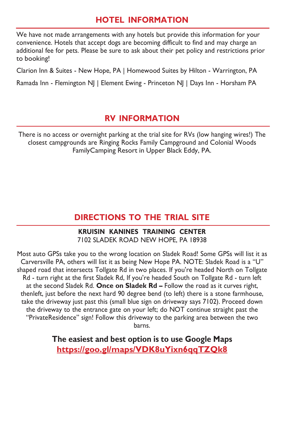### HOTEL INFORMATION

We have not made arrangements with any hotels but provide this information for your convenience. Hotels that accept dogs are becoming difficult to find and may charge an additional fee for pets. Please be sure to ask about their pet policy and restrictions prior to booking!

Clarion Inn & Suites - New Hope, PA | Homewood Suites by Hilton - Warrington, PA

Ramada Inn - Flemington NJ | Element Ewing - Princeton NJ | Days Inn - Horsham PA

#### RV INFORMATION

There is no access or overnight parking at the trial site for RVs (low hanging wires!) The closest campgrounds are Ringing Rocks Family Campground and Colonial Woods Family Camping Resort in Upper Black Eddy, PA.

#### DIRECTIONS TO THE TRIAL SITE

#### KRUISIN KANINES TRAINING CENTER 7102 SLADEK ROAD NEW HOPE, PA 18938

Most auto GPSs take you to the wrong location on Sladek Road! Some GPSs will list it as Carversville PA, others will list it as being New Hope PA. NOTE: Sladek Road is a "U" shaped road that intersects Tollgate Rd in two places. If you're headed North on Tollgate Rd - turn right at the first Sladek Rd, If you're headed South on Tollgate Rd - turn left at the second Sladek Rd. Once on Sladek Rd – Follow the road as it curves right, thenleft, just before the next hard 90 degree bend (to left) there is a stone farmhouse, take the driveway just past this (small blue sign on driveway says 7102). Proceed down the driveway to the entrance gate on your left; do NOT continue straight past the "Private Residence" sign! Follow this driveway to the parking area between the two barns.

> The easiest and best option is to use Google Maps https://goo.gl/maps/VDK8uYixn6qqTZQk8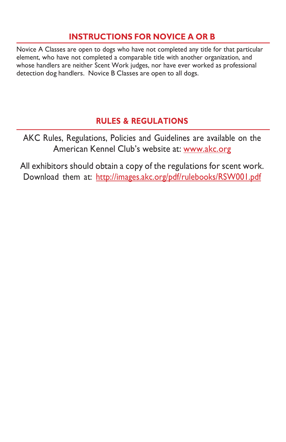# INSTRUCTIONS FOR NOVICE A OR B

Novice A Classes are open to dogs who have not completed any title for that particular element, who have not completed a comparable title with another organization, and whose handlers are neither Scent Work judges, nor have ever worked as professional detection dog handlers. Novice B Classes are open to all dogs.

# RULES & REGULATIONS

AKC Rules, Regulations, Policies and Guidelines are available on the American Kennel Club's website at: www.akc.org

All exhibitors should obtain a copy of the regulations for scent work. Download them at: http://images.akc.org/pdf/rulebooks/RSW001.pdf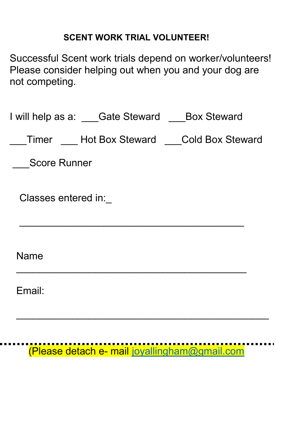# SCENT WORK TRIAL VOLUNTEER!

Successful Scent work trials depend on worker/volunteers! Please consider helping out when you and your dog are not competing.

| I will help as a: Gate Steward Box Steward    |
|-----------------------------------------------|
| Timer Hot Box Steward Cold Box Steward        |
| <b>Score Runner</b>                           |
| Classes entered in:                           |
| Name                                          |
| Email:                                        |
|                                               |
| (Please detach e- mail joyallingham@gmail.com |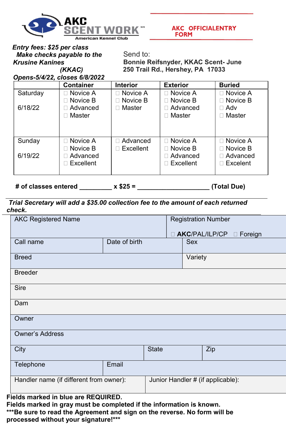

**AKC OFFICIALENTRY FORM** 

 Entry fees: \$25 per class Make checks payable to the Krusine Kanines (KKAC)

 Send to: Bonnie Reifsnyder, KKAC Scent- June 250 Trail Rd., Hershey, PA 17033

Opens-5/4/22, closes 6/8/2022

|          | <b>Container</b>   | <b>Interior</b>  | <b>Exterior</b>    | <b>Buried</b>     |
|----------|--------------------|------------------|--------------------|-------------------|
| Saturday | $\Box$ Novice A    | $\Box$ Novice A  | □ Novice A         | $\Box$ Novice A   |
|          | $\Box$ Novice B    | $\Box$ Novice B  | $\sqcap$ Novice B  | $\sqcap$ Novice B |
| 6/18/22  | □ Advanced         | $\Box$ Master    | ⊟ Advanced         | ⊟ Adv             |
|          | $\sqcap$ Master    |                  | ⊟ Master           | ⊓ Master          |
|          |                    |                  |                    |                   |
|          |                    |                  |                    |                   |
| Sunday   | $\Box$ Novice A    | □ Advanced       | □ Novice A         | □ Novice A        |
|          | $\Box$ Novice B    | $\Box$ Excellent | $\sqcap$ Novice B  | $\Box$ Novice B   |
| 6/19/22  | □ Advanced         |                  | ⊟ Advanced         | □ Advanced        |
|          | $\sqcap$ Excellent |                  | $\sqcap$ Excellent | $\sqcap$ Excelent |
|          |                    |                  |                    |                   |

# of classes entered  $x $25 =$  (Total Due)

#### Trial Secretary will add a \$35.00 collection fee to the amount of each returned check.

| <b>AKC Registered Name</b>              |               | <b>Registration Number</b>        |  |            |                       |                   |
|-----------------------------------------|---------------|-----------------------------------|--|------------|-----------------------|-------------------|
|                                         |               |                                   |  |            | <b>AKC/PAL/ILP/CP</b> | Foreign<br>$\Box$ |
| Call name                               | Date of birth |                                   |  | <b>Sex</b> |                       |                   |
| <b>Breed</b>                            |               | Variety                           |  |            |                       |                   |
| <b>Breeder</b>                          |               |                                   |  |            |                       |                   |
| <b>Sire</b>                             |               |                                   |  |            |                       |                   |
| Dam                                     |               |                                   |  |            |                       |                   |
| Owner                                   |               |                                   |  |            |                       |                   |
| <b>Owner's Address</b>                  |               |                                   |  |            |                       |                   |
| City                                    |               | <b>State</b>                      |  |            | Zip                   |                   |
| Telephone                               | Email         |                                   |  |            |                       |                   |
| Handler name (if different from owner): |               | Junior Handler # (if applicable): |  |            |                       |                   |

Fields marked in blue are REQUIRED.

Fields marked in gray must be completed if the information is known. \*\*\*Be sure to read the Agreement and sign on the reverse. No form will be processed without your signature!\*\*\*